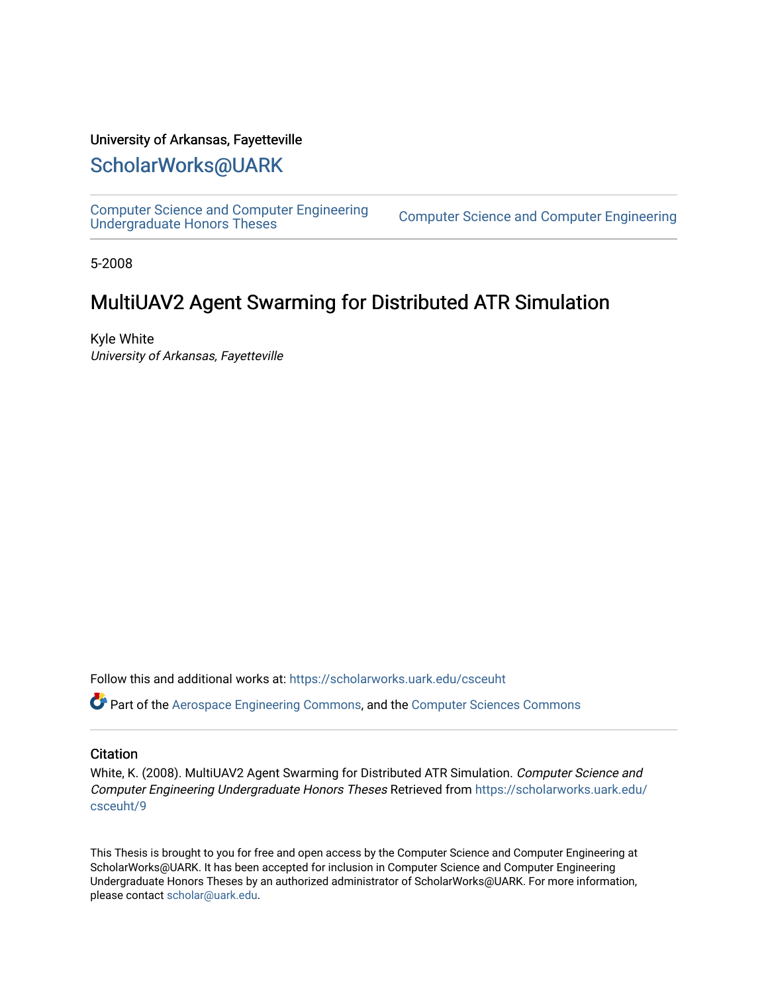## University of Arkansas, Fayetteville

# [ScholarWorks@UARK](https://scholarworks.uark.edu/)

[Computer Science and Computer Engineering](https://scholarworks.uark.edu/csceuht) 

Computer Science and Computer Engineering

5-2008

# MultiUAV2 Agent Swarming for Distributed ATR Simulation

Kyle White University of Arkansas, Fayetteville

Follow this and additional works at: [https://scholarworks.uark.edu/csceuht](https://scholarworks.uark.edu/csceuht?utm_source=scholarworks.uark.edu%2Fcsceuht%2F9&utm_medium=PDF&utm_campaign=PDFCoverPages)

Part of the [Aerospace Engineering Commons](http://network.bepress.com/hgg/discipline/218?utm_source=scholarworks.uark.edu%2Fcsceuht%2F9&utm_medium=PDF&utm_campaign=PDFCoverPages), and the [Computer Sciences Commons](http://network.bepress.com/hgg/discipline/142?utm_source=scholarworks.uark.edu%2Fcsceuht%2F9&utm_medium=PDF&utm_campaign=PDFCoverPages)

## **Citation**

White, K. (2008). MultiUAV2 Agent Swarming for Distributed ATR Simulation. Computer Science and Computer Engineering Undergraduate Honors Theses Retrieved from [https://scholarworks.uark.edu/](https://scholarworks.uark.edu/csceuht/9?utm_source=scholarworks.uark.edu%2Fcsceuht%2F9&utm_medium=PDF&utm_campaign=PDFCoverPages) [csceuht/9](https://scholarworks.uark.edu/csceuht/9?utm_source=scholarworks.uark.edu%2Fcsceuht%2F9&utm_medium=PDF&utm_campaign=PDFCoverPages) 

This Thesis is brought to you for free and open access by the Computer Science and Computer Engineering at ScholarWorks@UARK. It has been accepted for inclusion in Computer Science and Computer Engineering Undergraduate Honors Theses by an authorized administrator of ScholarWorks@UARK. For more information, please contact [scholar@uark.edu](mailto:scholar@uark.edu).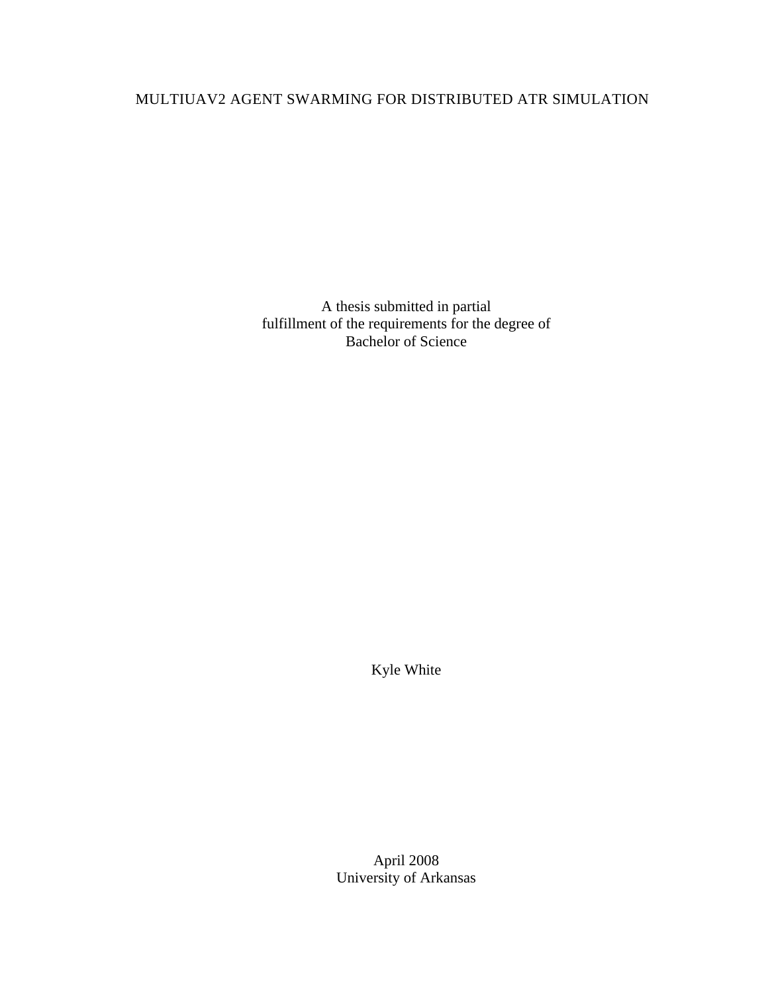# MULTIUAV2 AGENT SWARMING FOR DISTRIBUTED ATR SIMULATION

A thesis submitted in partial fulfillment of the requirements for the degree of Bachelor of Science

Kyle White

April 2008 University of Arkansas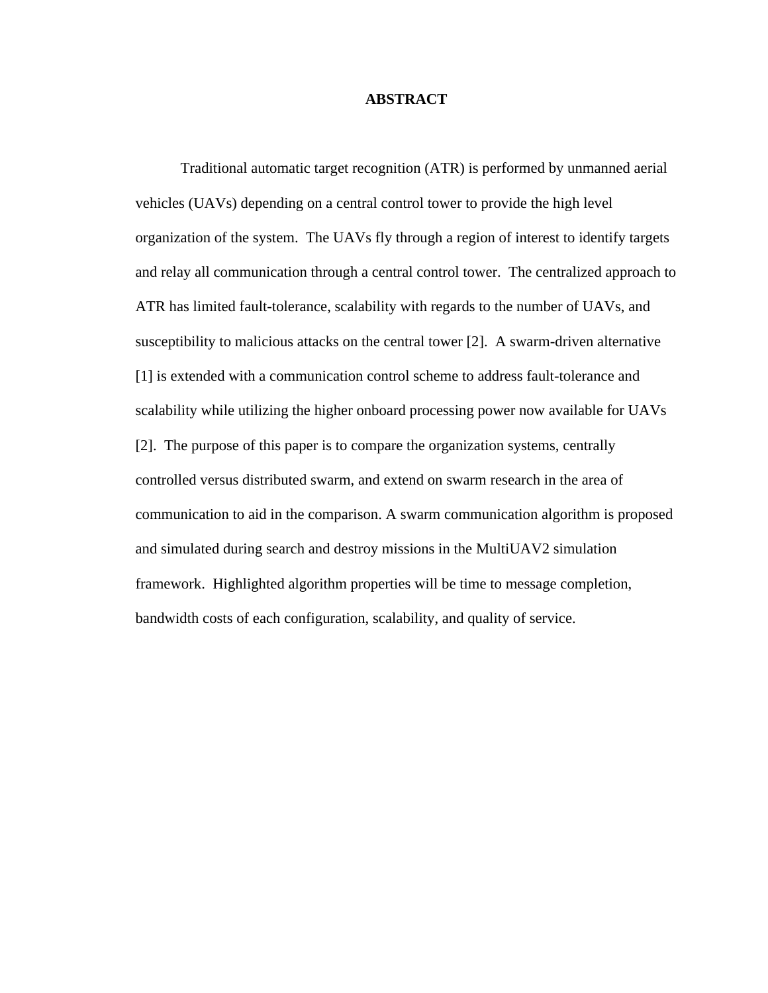## **ABSTRACT**

Traditional automatic target recognition (ATR) is performed by unmanned aerial vehicles (UAVs) depending on a central control tower to provide the high level organization of the system. The UAVs fly through a region of interest to identify targets and relay all communication through a central control tower. The centralized approach to ATR has limited fault-tolerance, scalability with regards to the number of UAVs, and susceptibility to malicious attacks on the central tower [2]. A swarm-driven alternative [1] is extended with a communication control scheme to address fault-tolerance and scalability while utilizing the higher onboard processing power now available for UAVs [2]. The purpose of this paper is to compare the organization systems, centrally controlled versus distributed swarm, and extend on swarm research in the area of communication to aid in the comparison. A swarm communication algorithm is proposed and simulated during search and destroy missions in the MultiUAV2 simulation framework. Highlighted algorithm properties will be time to message completion, bandwidth costs of each configuration, scalability, and quality of service.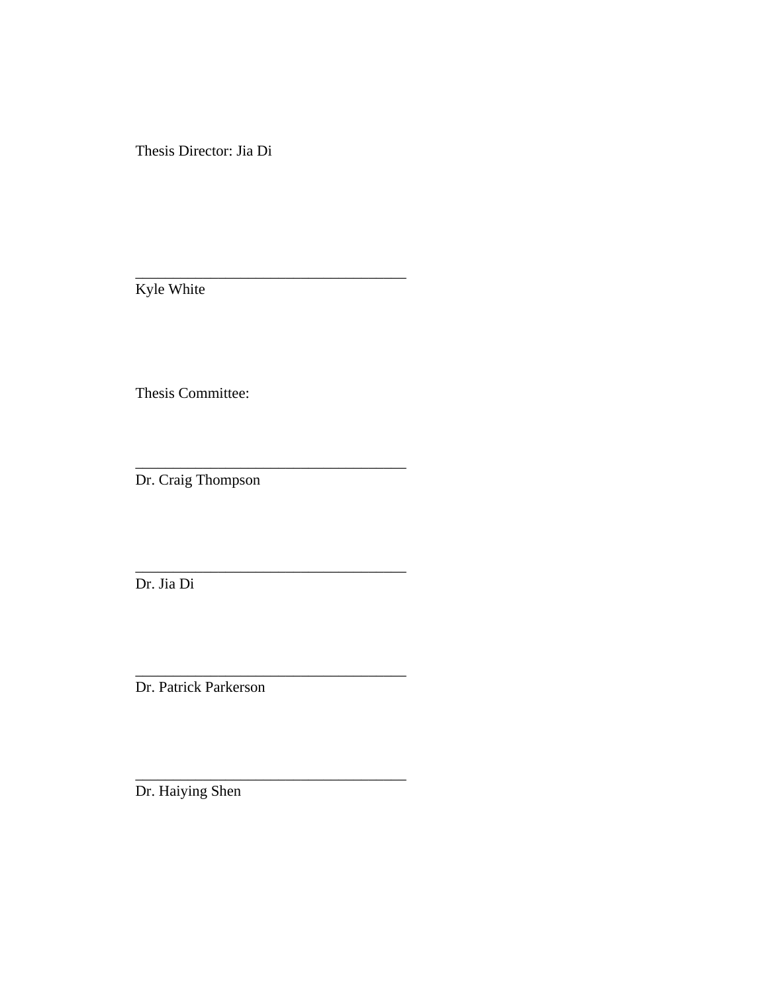Thesis Director: Jia Di

\_\_\_\_\_\_\_\_\_\_\_\_\_\_\_\_\_\_\_\_\_\_\_\_\_\_\_\_\_\_\_\_\_\_\_\_

\_\_\_\_\_\_\_\_\_\_\_\_\_\_\_\_\_\_\_\_\_\_\_\_\_\_\_\_\_\_\_\_\_\_\_\_

\_\_\_\_\_\_\_\_\_\_\_\_\_\_\_\_\_\_\_\_\_\_\_\_\_\_\_\_\_\_\_\_\_\_\_\_

\_\_\_\_\_\_\_\_\_\_\_\_\_\_\_\_\_\_\_\_\_\_\_\_\_\_\_\_\_\_\_\_\_\_\_\_

Kyle White

Thesis Committee:

Dr. Craig Thompson

Dr. Jia Di

Dr. Patrick Parkerson

Dr. Haiying Shen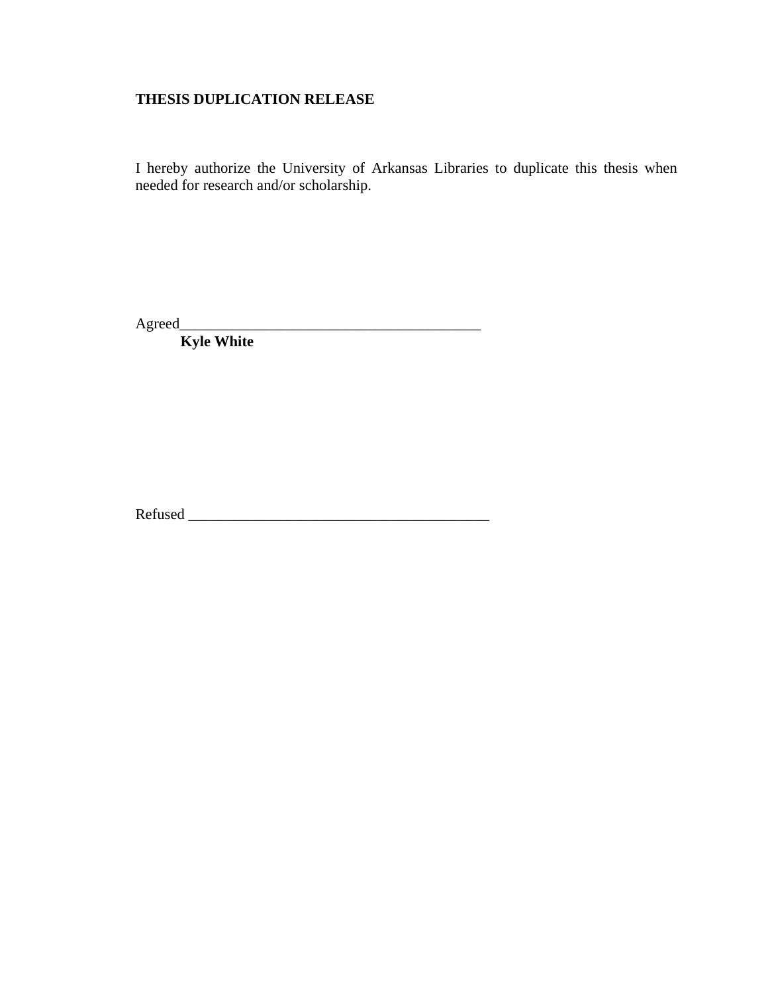## **THESIS DUPLICATION RELEASE**

I hereby authorize the University of Arkansas Libraries to duplicate this thesis when needed for research and/or scholarship.

Agreed\_\_\_\_\_\_\_\_\_\_\_\_\_\_\_\_\_\_\_\_\_\_\_\_\_\_\_\_\_\_\_\_\_\_\_\_\_\_\_\_

 **Kyle White** 

Refused \_\_\_\_\_\_\_\_\_\_\_\_\_\_\_\_\_\_\_\_\_\_\_\_\_\_\_\_\_\_\_\_\_\_\_\_\_\_\_\_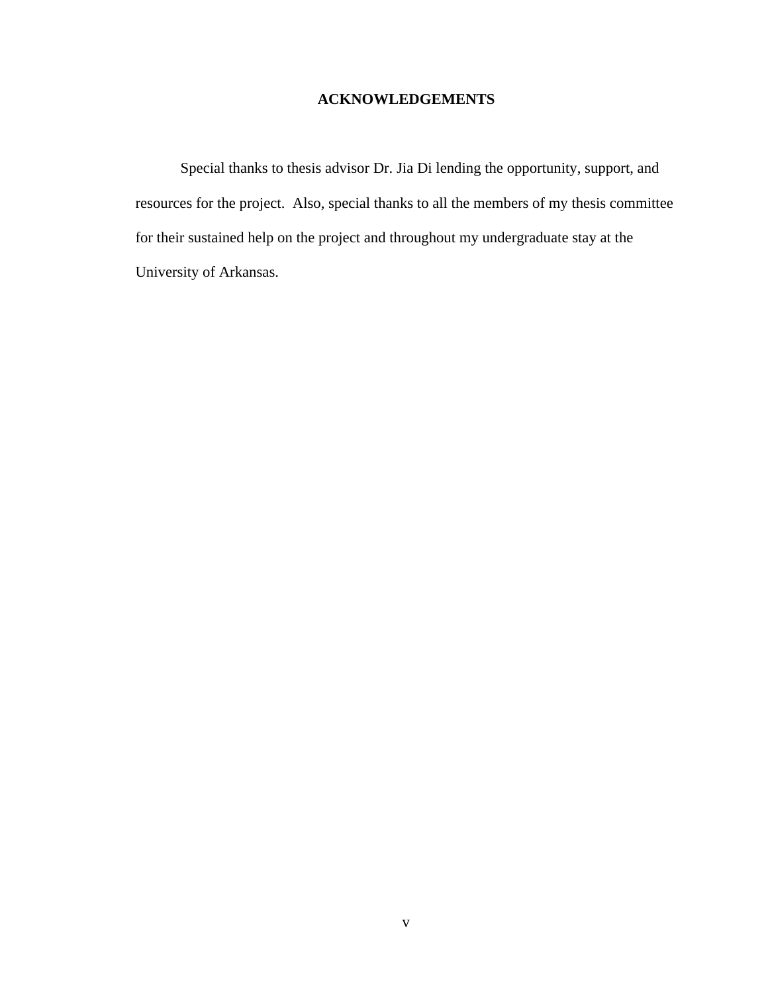## **ACKNOWLEDGEMENTS**

Special thanks to thesis advisor Dr. Jia Di lending the opportunity, support, and resources for the project. Also, special thanks to all the members of my thesis committee for their sustained help on the project and throughout my undergraduate stay at the University of Arkansas.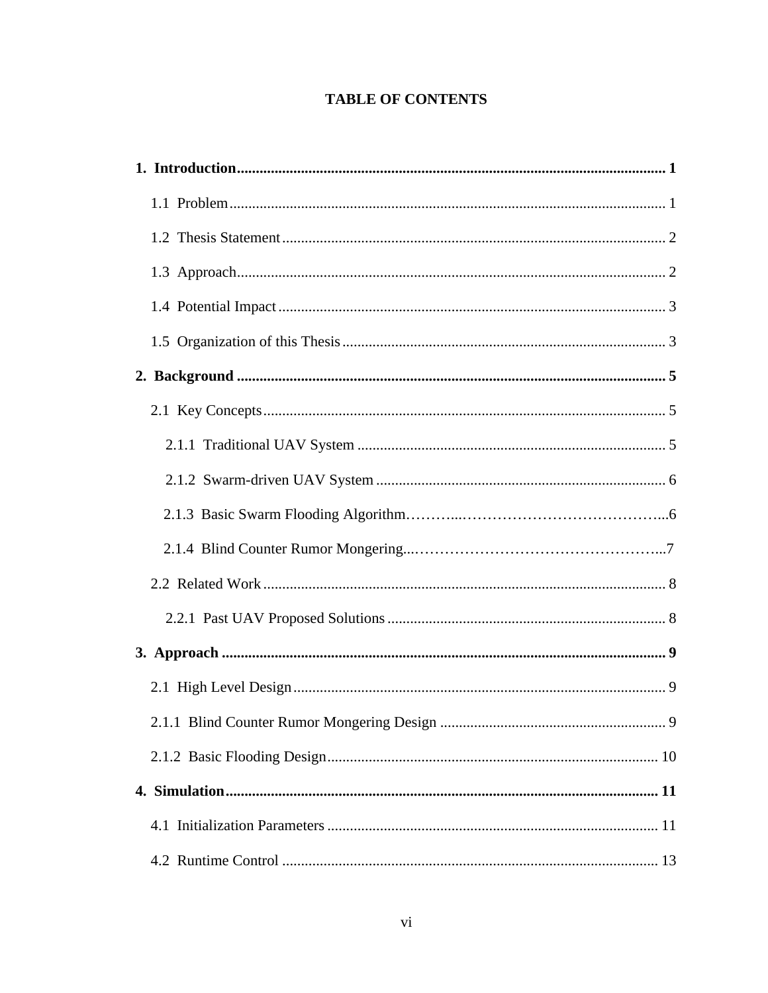## **TABLE OF CONTENTS**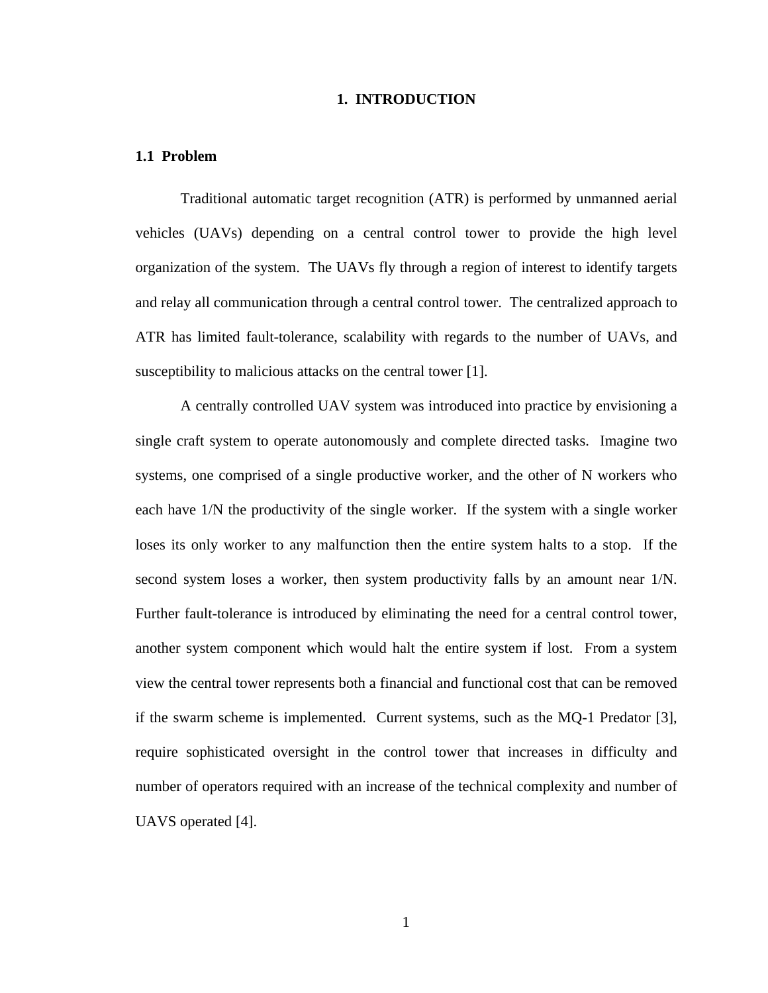## **1. INTRODUCTION**

#### **1.1 Problem**

Traditional automatic target recognition (ATR) is performed by unmanned aerial vehicles (UAVs) depending on a central control tower to provide the high level organization of the system. The UAVs fly through a region of interest to identify targets and relay all communication through a central control tower. The centralized approach to ATR has limited fault-tolerance, scalability with regards to the number of UAVs, and susceptibility to malicious attacks on the central tower [1].

A centrally controlled UAV system was introduced into practice by envisioning a single craft system to operate autonomously and complete directed tasks. Imagine two systems, one comprised of a single productive worker, and the other of N workers who each have 1/N the productivity of the single worker. If the system with a single worker loses its only worker to any malfunction then the entire system halts to a stop. If the second system loses a worker, then system productivity falls by an amount near 1/N. Further fault-tolerance is introduced by eliminating the need for a central control tower, another system component which would halt the entire system if lost. From a system view the central tower represents both a financial and functional cost that can be removed if the swarm scheme is implemented. Current systems, such as the MQ-1 Predator [3], require sophisticated oversight in the control tower that increases in difficulty and number of operators required with an increase of the technical complexity and number of UAVS operated [4].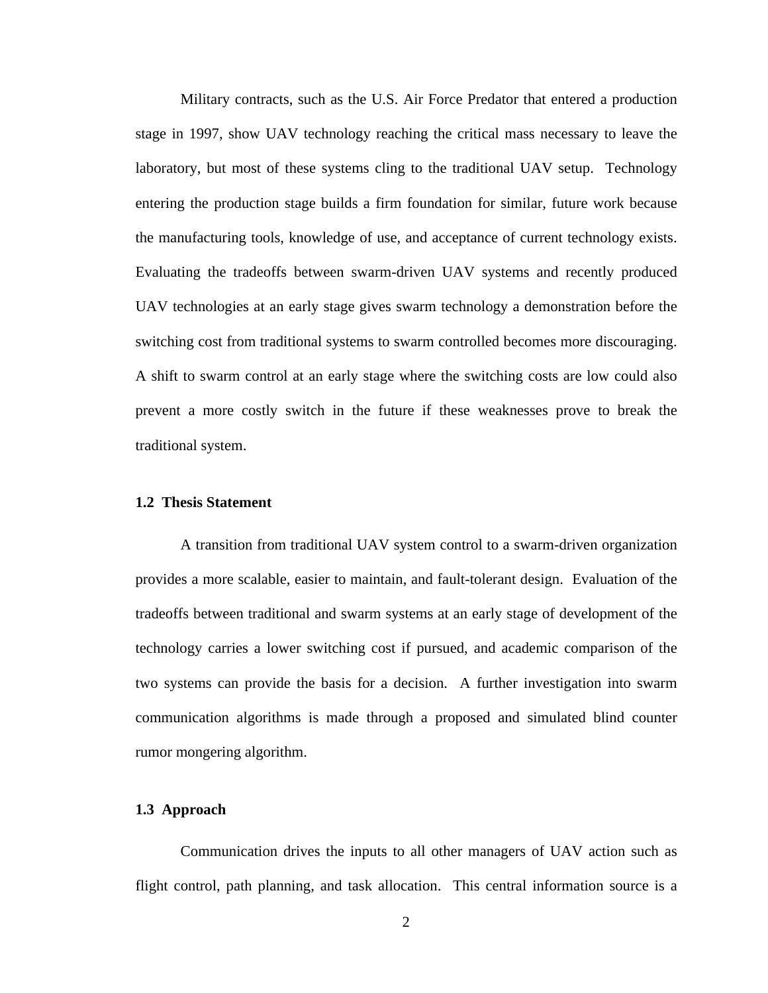Military contracts, such as the U.S. Air Force Predator that entered a production stage in 1997, show UAV technology reaching the critical mass necessary to leave the laboratory, but most of these systems cling to the traditional UAV setup. Technology entering the production stage builds a firm foundation for similar, future work because the manufacturing tools, knowledge of use, and acceptance of current technology exists. Evaluating the tradeoffs between swarm-driven UAV systems and recently produced UAV technologies at an early stage gives swarm technology a demonstration before the switching cost from traditional systems to swarm controlled becomes more discouraging. A shift to swarm control at an early stage where the switching costs are low could also prevent a more costly switch in the future if these weaknesses prove to break the traditional system.

## **1.2 Thesis Statement**

A transition from traditional UAV system control to a swarm-driven organization provides a more scalable, easier to maintain, and fault-tolerant design. Evaluation of the tradeoffs between traditional and swarm systems at an early stage of development of the technology carries a lower switching cost if pursued, and academic comparison of the two systems can provide the basis for a decision. A further investigation into swarm communication algorithms is made through a proposed and simulated blind counter rumor mongering algorithm.

## **1.3 Approach**

Communication drives the inputs to all other managers of UAV action such as flight control, path planning, and task allocation. This central information source is a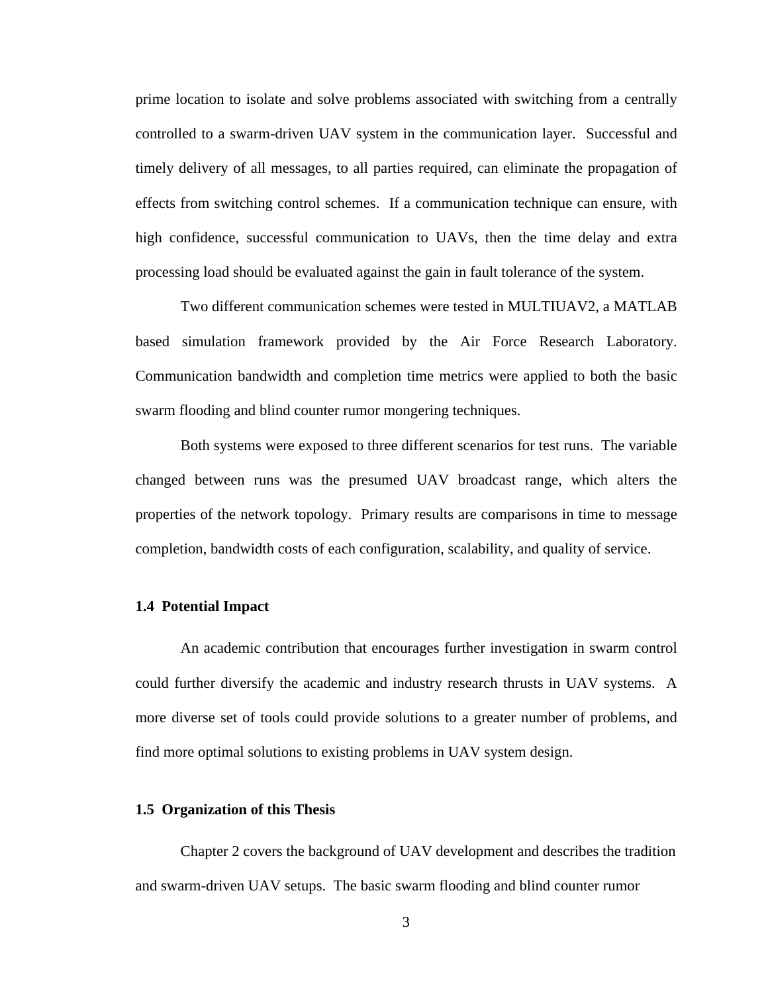prime location to isolate and solve problems associated with switching from a centrally controlled to a swarm-driven UAV system in the communication layer. Successful and timely delivery of all messages, to all parties required, can eliminate the propagation of effects from switching control schemes. If a communication technique can ensure, with high confidence, successful communication to UAVs, then the time delay and extra processing load should be evaluated against the gain in fault tolerance of the system.

Two different communication schemes were tested in MULTIUAV2, a MATLAB based simulation framework provided by the Air Force Research Laboratory. Communication bandwidth and completion time metrics were applied to both the basic swarm flooding and blind counter rumor mongering techniques.

Both systems were exposed to three different scenarios for test runs. The variable changed between runs was the presumed UAV broadcast range, which alters the properties of the network topology. Primary results are comparisons in time to message completion, bandwidth costs of each configuration, scalability, and quality of service.

## **1.4 Potential Impact**

An academic contribution that encourages further investigation in swarm control could further diversify the academic and industry research thrusts in UAV systems. A more diverse set of tools could provide solutions to a greater number of problems, and find more optimal solutions to existing problems in UAV system design.

## **1.5 Organization of this Thesis**

Chapter 2 covers the background of UAV development and describes the tradition and swarm-driven UAV setups. The basic swarm flooding and blind counter rumor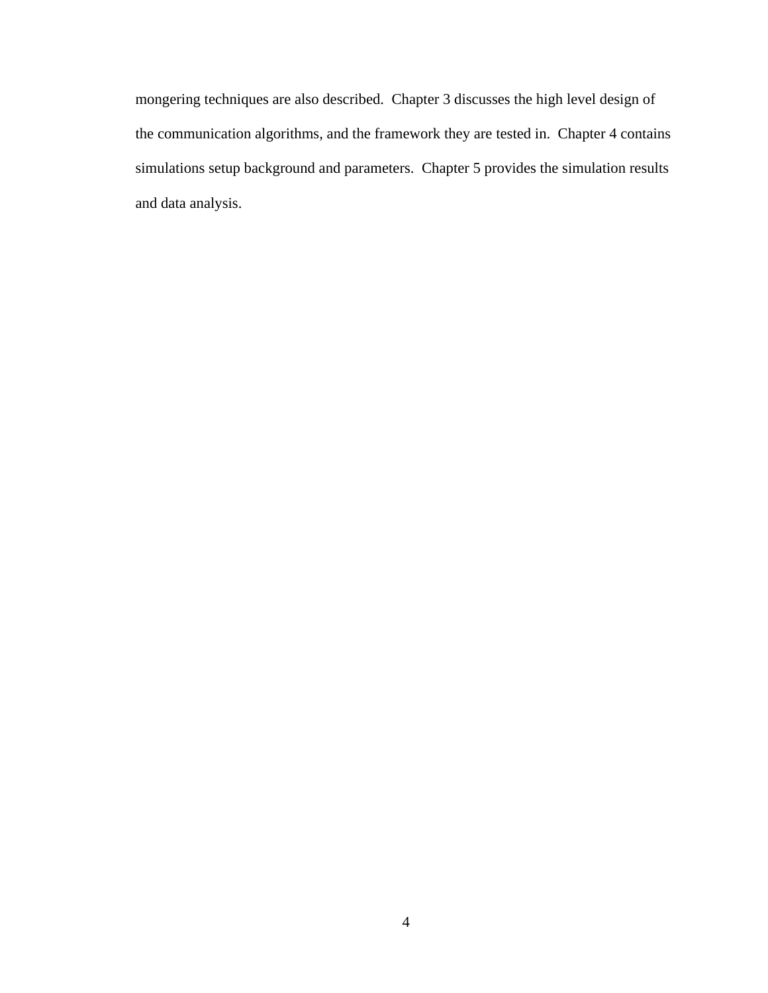mongering techniques are also described. Chapter 3 discusses the high level design of the communication algorithms, and the framework they are tested in. Chapter 4 contains simulations setup background and parameters. Chapter 5 provides the simulation results and data analysis.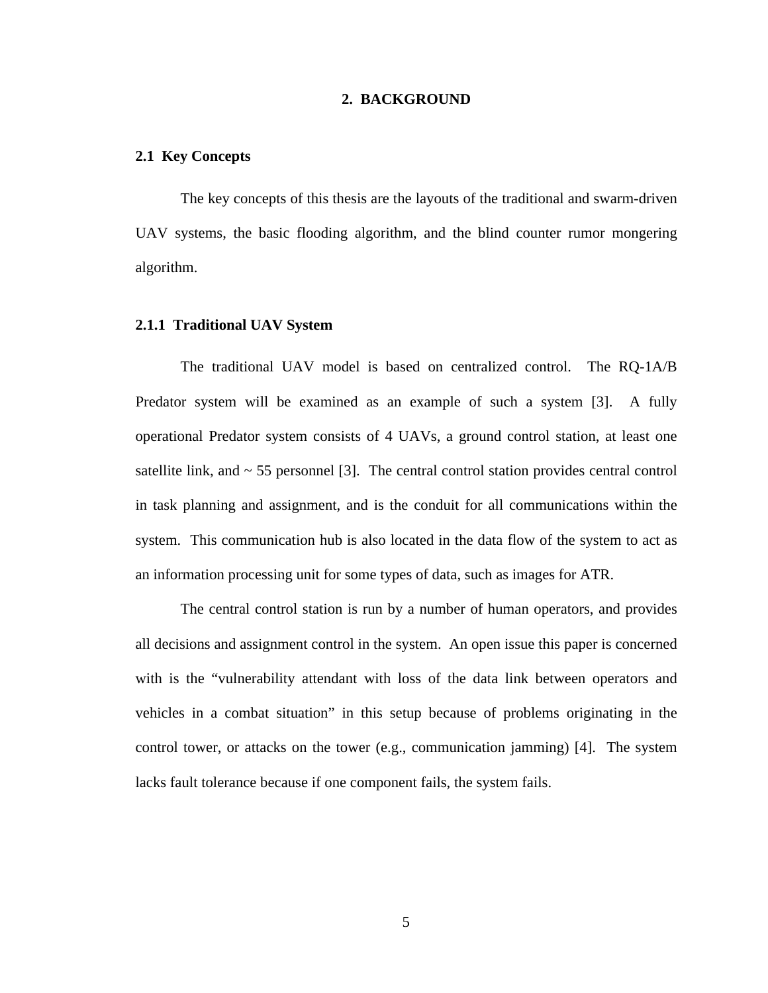## **2. BACKGROUND**

#### **2.1 Key Concepts**

The key concepts of this thesis are the layouts of the traditional and swarm-driven UAV systems, the basic flooding algorithm, and the blind counter rumor mongering algorithm.

## **2.1.1 Traditional UAV System**

The traditional UAV model is based on centralized control. The RQ-1A/B Predator system will be examined as an example of such a system [3]. A fully operational Predator system consists of 4 UAVs, a ground control station, at least one satellite link, and  $\sim$  55 personnel [3]. The central control station provides central control in task planning and assignment, and is the conduit for all communications within the system. This communication hub is also located in the data flow of the system to act as an information processing unit for some types of data, such as images for ATR.

The central control station is run by a number of human operators, and provides all decisions and assignment control in the system. An open issue this paper is concerned with is the "vulnerability attendant with loss of the data link between operators and vehicles in a combat situation" in this setup because of problems originating in the control tower, or attacks on the tower (e.g., communication jamming) [4]. The system lacks fault tolerance because if one component fails, the system fails.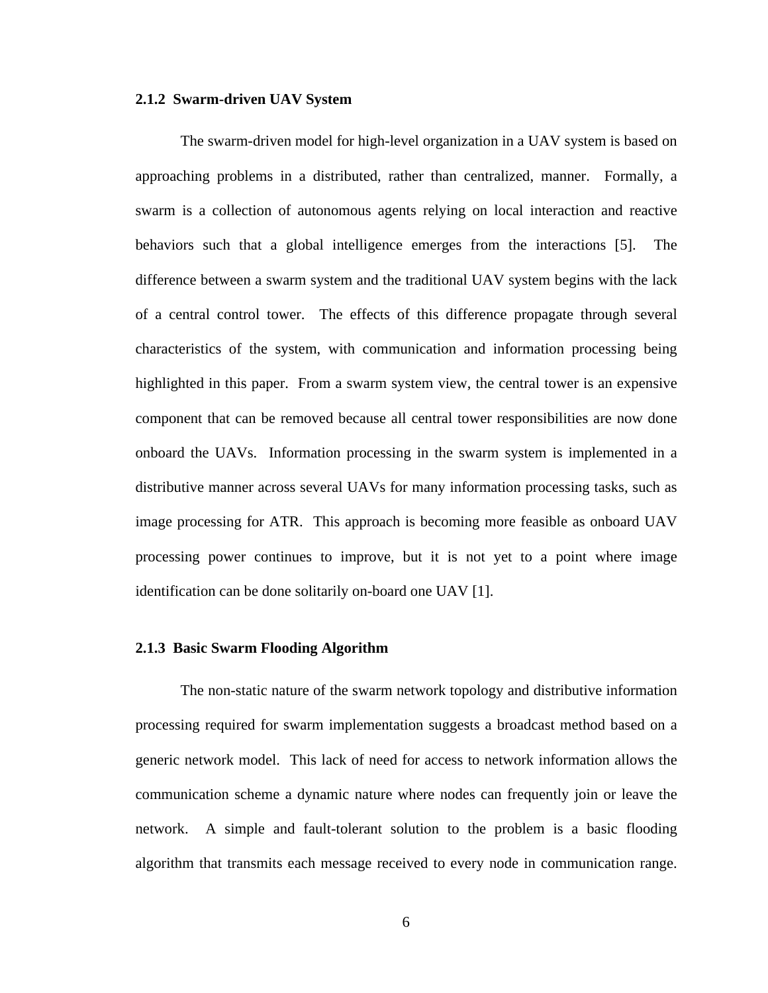#### **2.1.2 Swarm-driven UAV System**

The swarm-driven model for high-level organization in a UAV system is based on approaching problems in a distributed, rather than centralized, manner. Formally, a swarm is a collection of autonomous agents relying on local interaction and reactive behaviors such that a global intelligence emerges from the interactions [5]. The difference between a swarm system and the traditional UAV system begins with the lack of a central control tower. The effects of this difference propagate through several characteristics of the system, with communication and information processing being highlighted in this paper. From a swarm system view, the central tower is an expensive component that can be removed because all central tower responsibilities are now done onboard the UAVs. Information processing in the swarm system is implemented in a distributive manner across several UAVs for many information processing tasks, such as image processing for ATR. This approach is becoming more feasible as onboard UAV processing power continues to improve, but it is not yet to a point where image identification can be done solitarily on-board one UAV [1].

## **2.1.3 Basic Swarm Flooding Algorithm**

The non-static nature of the swarm network topology and distributive information processing required for swarm implementation suggests a broadcast method based on a generic network model. This lack of need for access to network information allows the communication scheme a dynamic nature where nodes can frequently join or leave the network. A simple and fault-tolerant solution to the problem is a basic flooding algorithm that transmits each message received to every node in communication range.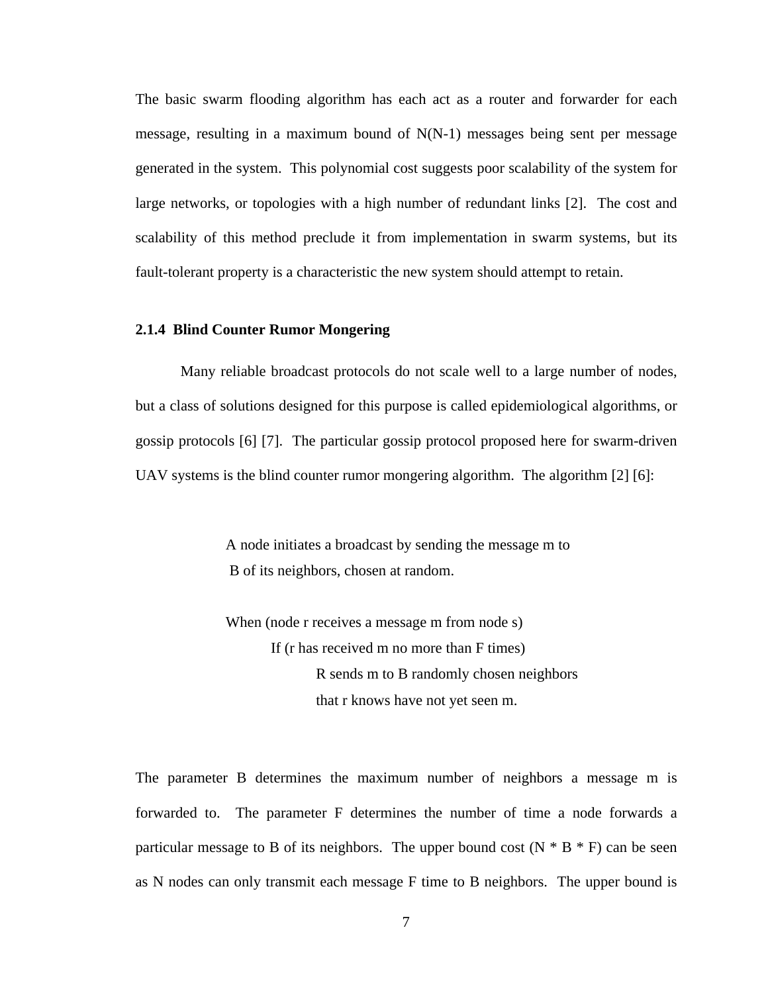The basic swarm flooding algorithm has each act as a router and forwarder for each message, resulting in a maximum bound of N(N-1) messages being sent per message generated in the system. This polynomial cost suggests poor scalability of the system for large networks, or topologies with a high number of redundant links [2]. The cost and scalability of this method preclude it from implementation in swarm systems, but its fault-tolerant property is a characteristic the new system should attempt to retain.

## **2.1.4 Blind Counter Rumor Mongering**

Many reliable broadcast protocols do not scale well to a large number of nodes, but a class of solutions designed for this purpose is called epidemiological algorithms, or gossip protocols [6] [7]. The particular gossip protocol proposed here for swarm-driven UAV systems is the blind counter rumor mongering algorithm. The algorithm [2] [6]:

> A node initiates a broadcast by sending the message m to B of its neighbors, chosen at random.

When (node r receives a message m from node s) If (r has received m no more than F times) R sends m to B randomly chosen neighbors that r knows have not yet seen m.

The parameter B determines the maximum number of neighbors a message m is forwarded to. The parameter F determines the number of time a node forwards a particular message to B of its neighbors. The upper bound cost  $(N * B * F)$  can be seen as N nodes can only transmit each message F time to B neighbors. The upper bound is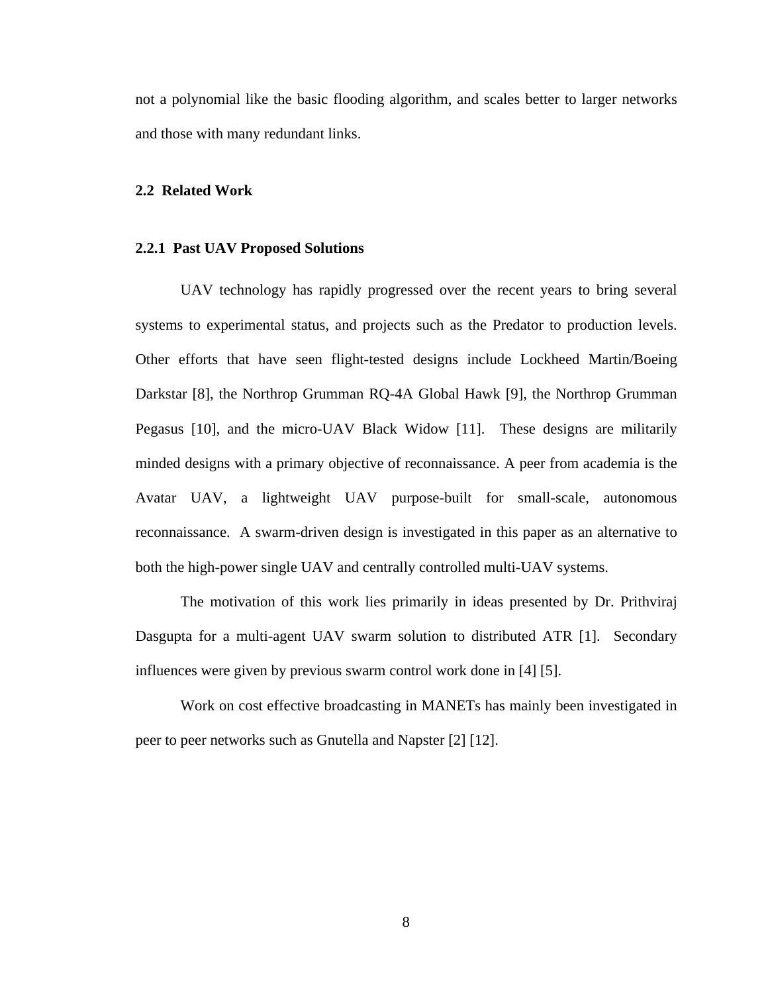not a polynomial like the basic flooding algorithm, and scales better to larger networks and those with many redundant links.

#### **2.2 Related Work**

#### **2.2.1 Past UAV Proposed Solutions**

UAV technology has rapidly progressed over the recent years to bring several systems to experimental status, and projects such as the Predator to production levels. Other efforts that have seen flight-tested designs include Lockheed Martin/Boeing Darkstar [8], the Northrop Grumman RQ-4A Global Hawk [9], the Northrop Grumman Pegasus [10], and the micro-UAV Black Widow [11]. These designs are militarily minded designs with a primary objective of reconnaissance. A peer from academia is the Avatar UAV, a lightweight UAV purpose-built for small-scale, autonomous reconnaissance. A swarm-driven design is investigated in this paper as an alternative to both the high-power single UAV and centrally controlled multi-UAV systems.

The motivation of this work lies primarily in ideas presented by Dr. Prithviraj Dasgupta for a multi-agent UAV swarm solution to distributed ATR [1]. Secondary influences were given by previous swarm control work done in [4] [5].

Work on cost effective broadcasting in MANETs has mainly been investigated in peer to peer networks such as Gnutella and Napster [2] [12].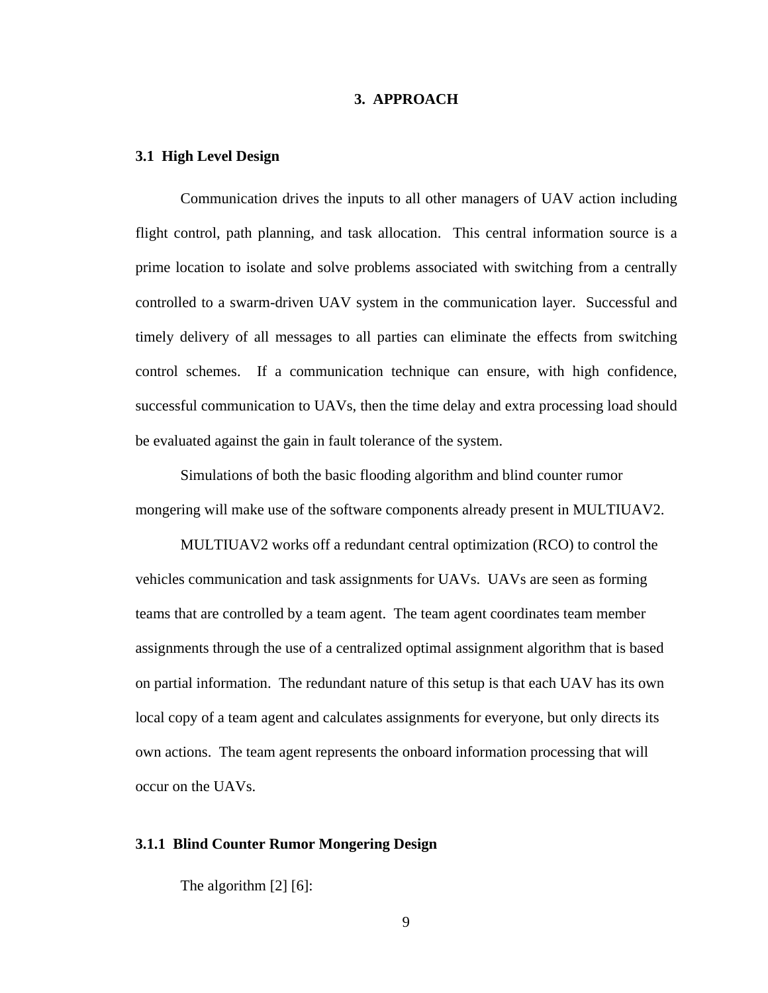## **3. APPROACH**

#### **3.1 High Level Design**

Communication drives the inputs to all other managers of UAV action including flight control, path planning, and task allocation. This central information source is a prime location to isolate and solve problems associated with switching from a centrally controlled to a swarm-driven UAV system in the communication layer. Successful and timely delivery of all messages to all parties can eliminate the effects from switching control schemes. If a communication technique can ensure, with high confidence, successful communication to UAVs, then the time delay and extra processing load should be evaluated against the gain in fault tolerance of the system.

Simulations of both the basic flooding algorithm and blind counter rumor mongering will make use of the software components already present in MULTIUAV2.

MULTIUAV2 works off a redundant central optimization (RCO) to control the vehicles communication and task assignments for UAVs. UAVs are seen as forming teams that are controlled by a team agent. The team agent coordinates team member assignments through the use of a centralized optimal assignment algorithm that is based on partial information. The redundant nature of this setup is that each UAV has its own local copy of a team agent and calculates assignments for everyone, but only directs its own actions. The team agent represents the onboard information processing that will occur on the UAVs.

## **3.1.1 Blind Counter Rumor Mongering Design**

The algorithm [2] [6]: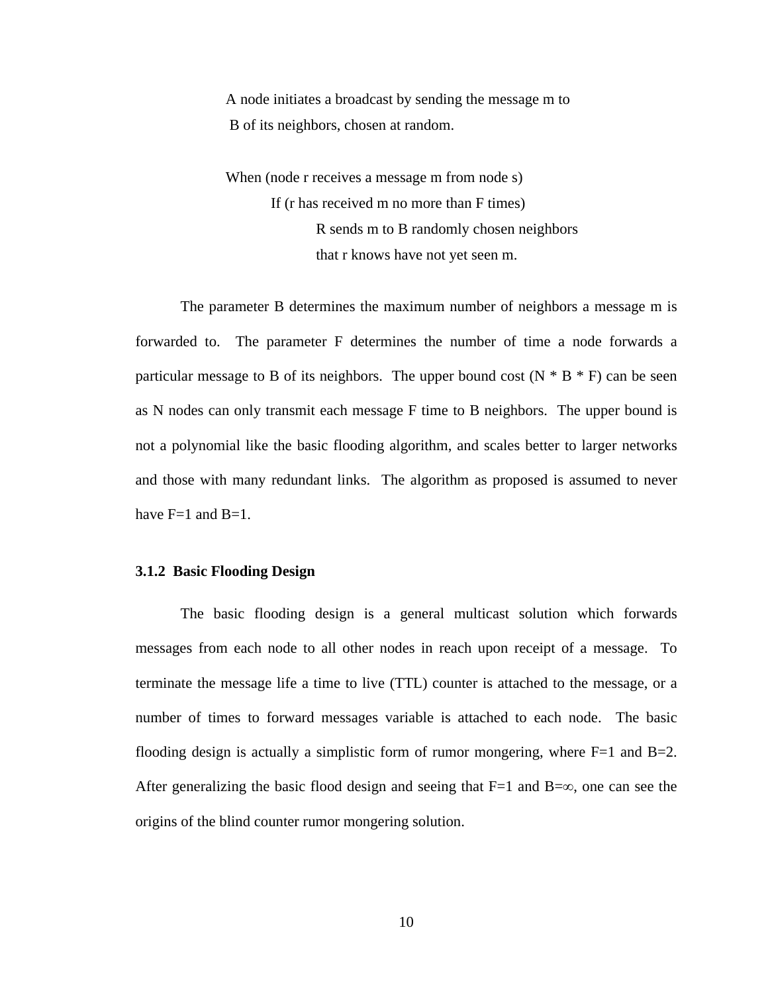A node initiates a broadcast by sending the message m to B of its neighbors, chosen at random.

When (node r receives a message m from node s) If (r has received m no more than F times) R sends m to B randomly chosen neighbors that r knows have not yet seen m.

The parameter B determines the maximum number of neighbors a message m is forwarded to. The parameter F determines the number of time a node forwards a particular message to B of its neighbors. The upper bound cost  $(N * B * F)$  can be seen as N nodes can only transmit each message F time to B neighbors. The upper bound is not a polynomial like the basic flooding algorithm, and scales better to larger networks and those with many redundant links. The algorithm as proposed is assumed to never have  $F=1$  and  $B=1$ .

## **3.1.2 Basic Flooding Design**

The basic flooding design is a general multicast solution which forwards messages from each node to all other nodes in reach upon receipt of a message. To terminate the message life a time to live (TTL) counter is attached to the message, or a number of times to forward messages variable is attached to each node. The basic flooding design is actually a simplistic form of rumor mongering, where  $F=1$  and  $B=2$ . After generalizing the basic flood design and seeing that  $F=1$  and  $B=\infty$ , one can see the origins of the blind counter rumor mongering solution.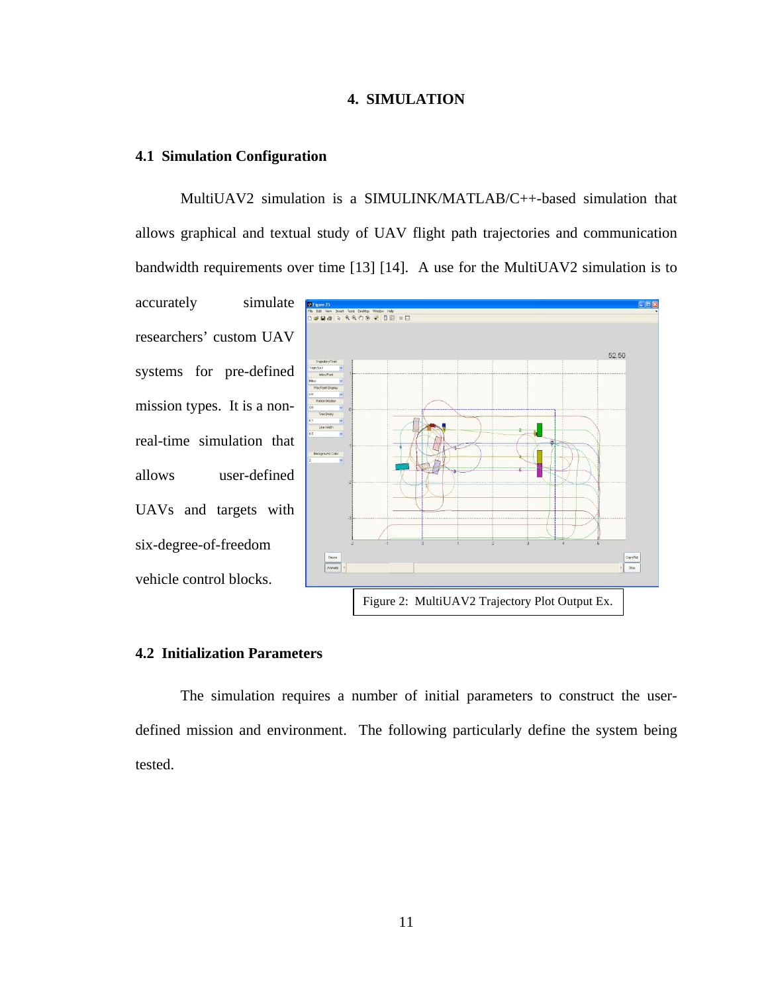### **4. SIMULATION**

#### **4.1 Simulation Configuration**

MultiUAV2 simulation is a SIMULINK/MATLAB/C++-based simulation that allows graphical and textual study of UAV flight path trajectories and communication bandwidth requirements over time [13] [14]. A use for the MultiUAV2 simulation is to

accurately simulate researchers' custom UAV systems for pre-defined mission types. It is a nonreal-time simulation that allows user-defined UAVs and targets with six-degree-of-freedom vehicle control blocks.



#### **4.2 Initialization Parameters**

The simulation requires a number of initial parameters to construct the userdefined mission and environment. The following particularly define the system being tested.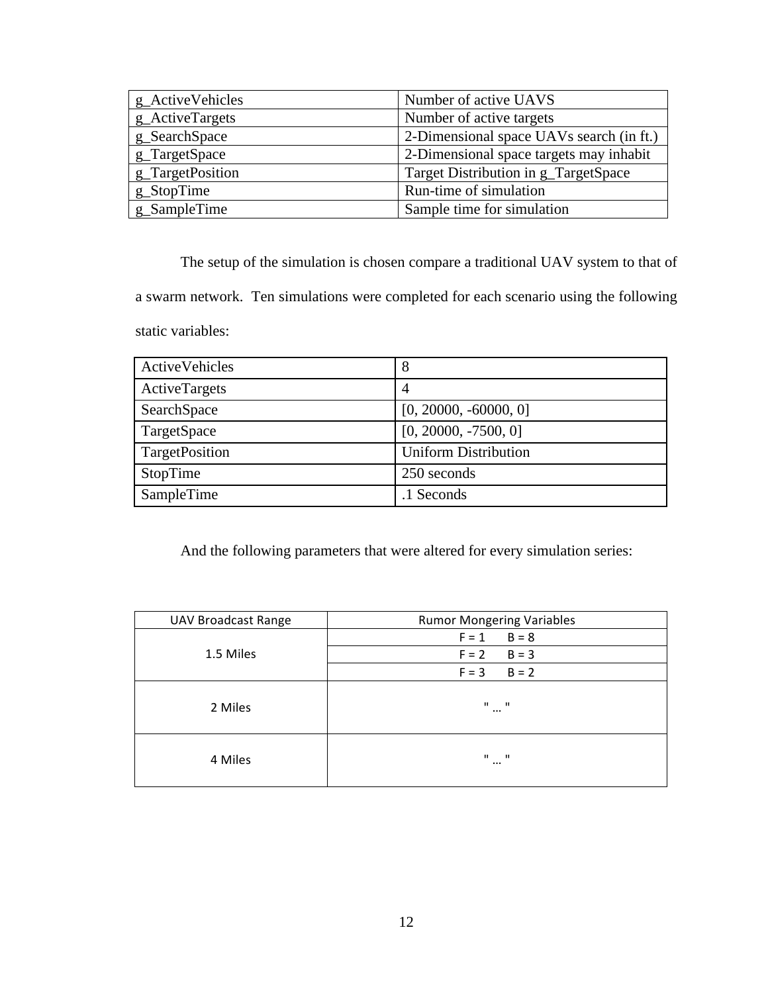| g_ActiveVehicles | Number of active UAVS                    |
|------------------|------------------------------------------|
| g_ActiveTargets  | Number of active targets                 |
| g_SearchSpace    | 2-Dimensional space UAVs search (in ft.) |
| g_TargetSpace    | 2-Dimensional space targets may inhabit  |
| g_TargetPosition | Target Distribution in g_TargetSpace     |
| g_StopTime       | Run-time of simulation                   |
| g_SampleTime     | Sample time for simulation               |

The setup of the simulation is chosen compare a traditional UAV system to that of a swarm network. Ten simulations were completed for each scenario using the following static variables:

| ActiveVehicles | 8                           |
|----------------|-----------------------------|
| ActiveTargets  | 4                           |
| SearchSpace    | $[0, 20000, -60000, 0]$     |
| TargetSpace    | $[0, 20000, -7500, 0]$      |
| TargetPosition | <b>Uniform Distribution</b> |
| StopTime       | 250 seconds                 |
| SampleTime     | .1 Seconds                  |

And the following parameters that were altered for every simulation series:

| <b>UAV Broadcast Range</b> | <b>Rumor Mongering Variables</b>                     |  |  |
|----------------------------|------------------------------------------------------|--|--|
| 1.5 Miles                  | $B = 8$<br>$F = 1$                                   |  |  |
|                            | $B = 3$<br>$F = 2$                                   |  |  |
|                            | $B = 2$<br>$F = 3$                                   |  |  |
| 2 Miles                    | $\mathbf{H}$<br>$\overline{\phantom{0}}$<br>$\cdots$ |  |  |
| 4 Miles                    | $\mathbf{H}$<br>$\sim$ 11<br>$\cdots$                |  |  |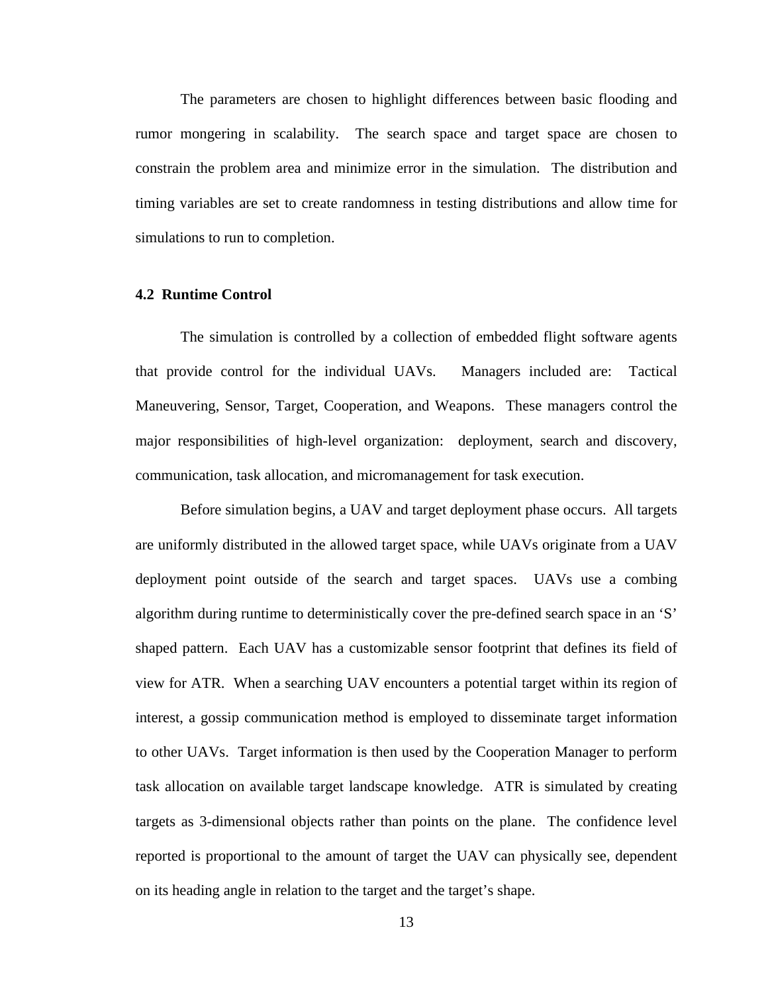The parameters are chosen to highlight differences between basic flooding and rumor mongering in scalability. The search space and target space are chosen to constrain the problem area and minimize error in the simulation. The distribution and timing variables are set to create randomness in testing distributions and allow time for simulations to run to completion.

#### **4.2 Runtime Control**

The simulation is controlled by a collection of embedded flight software agents that provide control for the individual UAVs. Managers included are: Tactical Maneuvering, Sensor, Target, Cooperation, and Weapons. These managers control the major responsibilities of high-level organization: deployment, search and discovery, communication, task allocation, and micromanagement for task execution.

Before simulation begins, a UAV and target deployment phase occurs. All targets are uniformly distributed in the allowed target space, while UAVs originate from a UAV deployment point outside of the search and target spaces. UAVs use a combing algorithm during runtime to deterministically cover the pre-defined search space in an 'S' shaped pattern. Each UAV has a customizable sensor footprint that defines its field of view for ATR. When a searching UAV encounters a potential target within its region of interest, a gossip communication method is employed to disseminate target information to other UAVs. Target information is then used by the Cooperation Manager to perform task allocation on available target landscape knowledge. ATR is simulated by creating targets as 3-dimensional objects rather than points on the plane. The confidence level reported is proportional to the amount of target the UAV can physically see, dependent on its heading angle in relation to the target and the target's shape.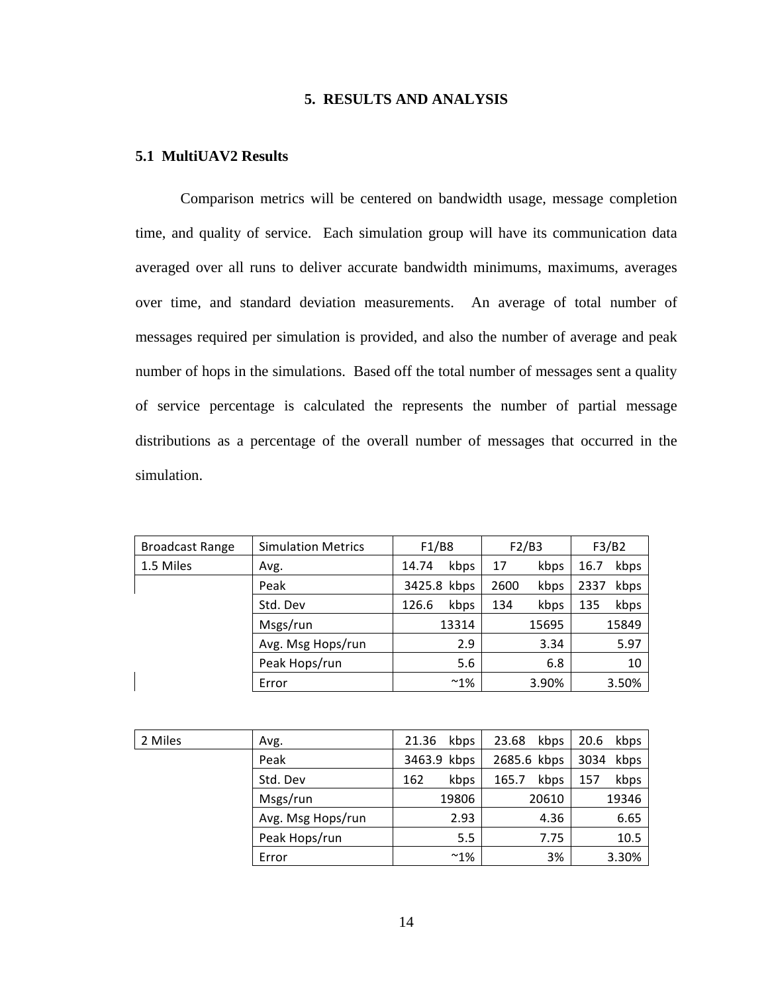## **5. RESULTS AND ANALYSIS**

#### **5.1 MultiUAV2 Results**

Comparison metrics will be centered on bandwidth usage, message completion time, and quality of service. Each simulation group will have its communication data averaged over all runs to deliver accurate bandwidth minimums, maximums, averages over time, and standard deviation measurements. An average of total number of messages required per simulation is provided, and also the number of average and peak number of hops in the simulations. Based off the total number of messages sent a quality of service percentage is calculated the represents the number of partial message distributions as a percentage of the overall number of messages that occurred in the simulation.

| <b>Broadcast Range</b> | <b>Simulation Metrics</b> | F1/B8         | F2/B3        | F3/B2        |
|------------------------|---------------------------|---------------|--------------|--------------|
| 1.5 Miles              | Avg.                      | kbps<br>14.74 | kbps<br>17   | kbps<br>16.7 |
|                        | Peak                      | 3425.8 kbps   | kbps<br>2600 | 2337<br>kbps |
|                        | Std. Dev                  | kbps<br>126.6 | kbps<br>134  | kbps<br>135  |
|                        | Msgs/run                  | 13314         | 15695        | 15849        |
|                        | Avg. Msg Hops/run         | 2.9           | 3.34         | 5.97         |
|                        | Peak Hops/run             | 5.6           | 6.8          | 10           |
|                        | Error                     | $~^{\sim}1\%$ | 3.90%        | 3.50%        |

| 2 Miles | Avg.              | kbps<br>21.36 | 23.68<br>kbps | 20.6<br>kbps |
|---------|-------------------|---------------|---------------|--------------|
|         | Peak              | 3463.9 kbps   | 2685.6 kbps   | kbps<br>3034 |
|         | Std. Dev          | kbps<br>162   | kbps<br>165.7 | kbps<br>157  |
|         | Msgs/run          | 19806         | 20610         | 19346        |
|         | Avg. Msg Hops/run | 2.93          | 4.36          | 6.65         |
|         | Peak Hops/run     | 5.5           | 7.75          | 10.5         |
|         | Error             | $~^{\sim}1\%$ | 3%            | 3.30%        |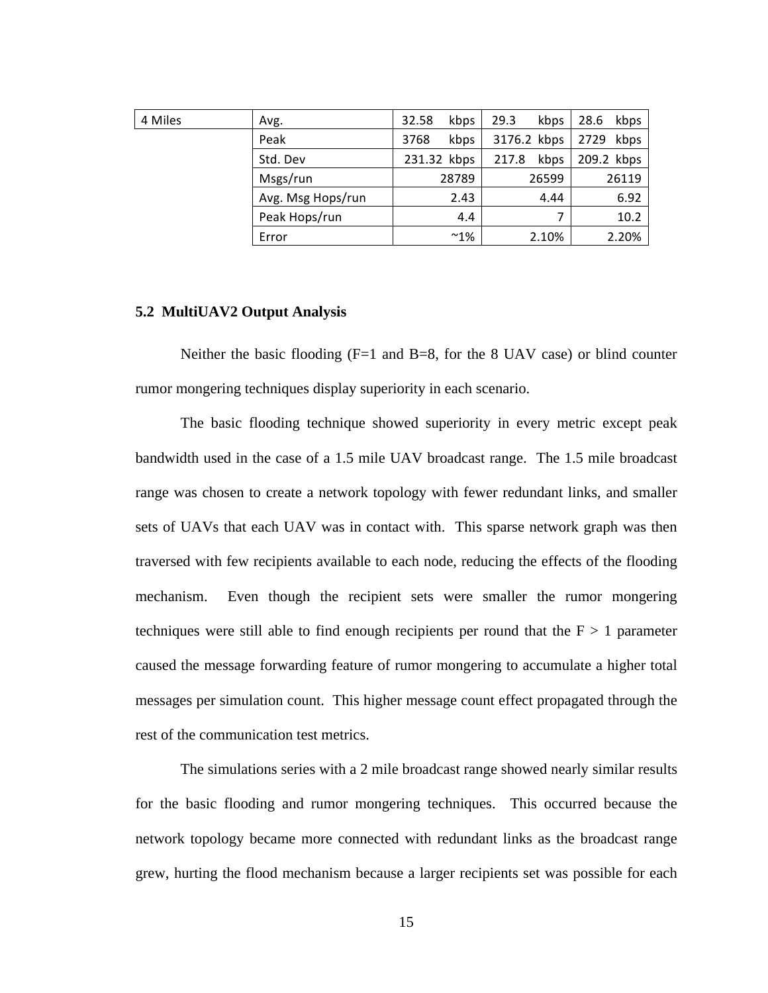| 4 Miles | Avg.              | kbps<br>32.58 | 29.3<br>kbps  | 28.6<br>kbps |
|---------|-------------------|---------------|---------------|--------------|
|         | Peak              | kbps<br>3768  | 3176.2 kbps   | 2729<br>kbps |
|         | Std. Dev          | 231.32 kbps   | kbps<br>217.8 | 209.2 kbps   |
|         | Msgs/run          | 28789         | 26599         | 26119        |
|         | Avg. Msg Hops/run | 2.43          | 4.44          | 6.92         |
|         | Peak Hops/run     | 4.4           | 7             | 10.2         |
|         | Error             | $~^{\sim}1\%$ | 2.10%         | 2.20%        |

#### **5.2 MultiUAV2 Output Analysis**

Neither the basic flooding  $(F=1 \text{ and } B=8)$ , for the 8 UAV case) or blind counter rumor mongering techniques display superiority in each scenario.

The basic flooding technique showed superiority in every metric except peak bandwidth used in the case of a 1.5 mile UAV broadcast range. The 1.5 mile broadcast range was chosen to create a network topology with fewer redundant links, and smaller sets of UAVs that each UAV was in contact with. This sparse network graph was then traversed with few recipients available to each node, reducing the effects of the flooding mechanism. Even though the recipient sets were smaller the rumor mongering techniques were still able to find enough recipients per round that the  $F > 1$  parameter caused the message forwarding feature of rumor mongering to accumulate a higher total messages per simulation count. This higher message count effect propagated through the rest of the communication test metrics.

The simulations series with a 2 mile broadcast range showed nearly similar results for the basic flooding and rumor mongering techniques. This occurred because the network topology became more connected with redundant links as the broadcast range grew, hurting the flood mechanism because a larger recipients set was possible for each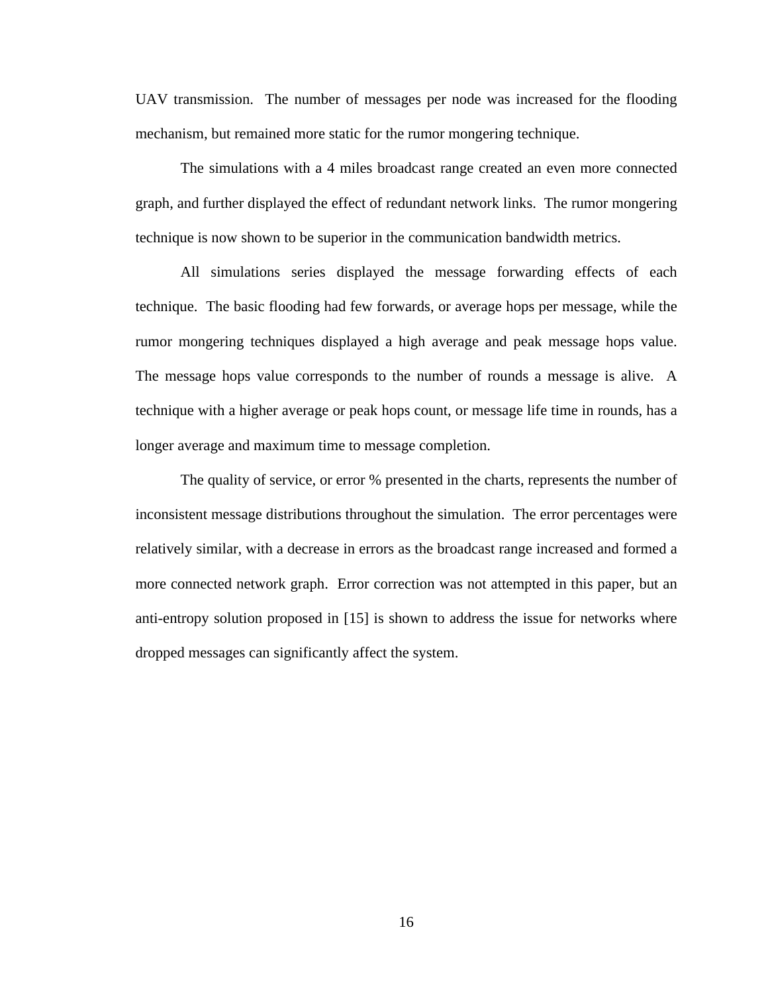UAV transmission. The number of messages per node was increased for the flooding mechanism, but remained more static for the rumor mongering technique.

The simulations with a 4 miles broadcast range created an even more connected graph, and further displayed the effect of redundant network links. The rumor mongering technique is now shown to be superior in the communication bandwidth metrics.

 All simulations series displayed the message forwarding effects of each technique. The basic flooding had few forwards, or average hops per message, while the rumor mongering techniques displayed a high average and peak message hops value. The message hops value corresponds to the number of rounds a message is alive. A technique with a higher average or peak hops count, or message life time in rounds, has a longer average and maximum time to message completion.

 The quality of service, or error % presented in the charts, represents the number of inconsistent message distributions throughout the simulation. The error percentages were relatively similar, with a decrease in errors as the broadcast range increased and formed a more connected network graph. Error correction was not attempted in this paper, but an anti-entropy solution proposed in [15] is shown to address the issue for networks where dropped messages can significantly affect the system.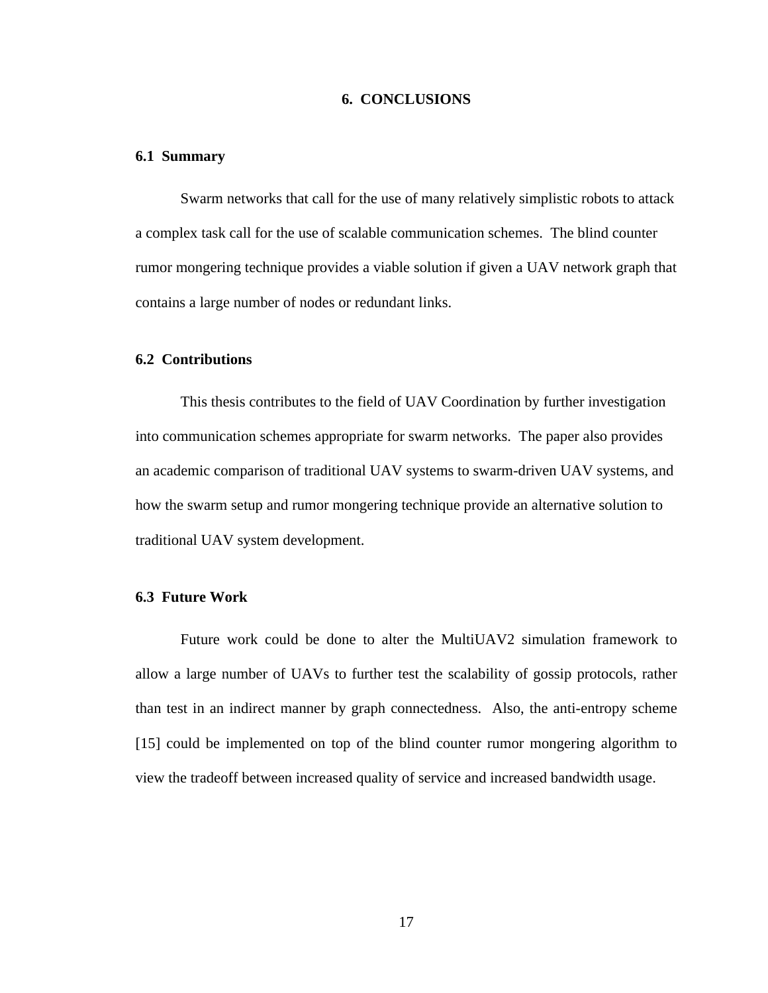## **6. CONCLUSIONS**

#### **6.1 Summary**

Swarm networks that call for the use of many relatively simplistic robots to attack a complex task call for the use of scalable communication schemes. The blind counter rumor mongering technique provides a viable solution if given a UAV network graph that contains a large number of nodes or redundant links.

## **6.2 Contributions**

This thesis contributes to the field of UAV Coordination by further investigation into communication schemes appropriate for swarm networks. The paper also provides an academic comparison of traditional UAV systems to swarm-driven UAV systems, and how the swarm setup and rumor mongering technique provide an alternative solution to traditional UAV system development.

## **6.3 Future Work**

Future work could be done to alter the MultiUAV2 simulation framework to allow a large number of UAVs to further test the scalability of gossip protocols, rather than test in an indirect manner by graph connectedness. Also, the anti-entropy scheme [15] could be implemented on top of the blind counter rumor mongering algorithm to view the tradeoff between increased quality of service and increased bandwidth usage.